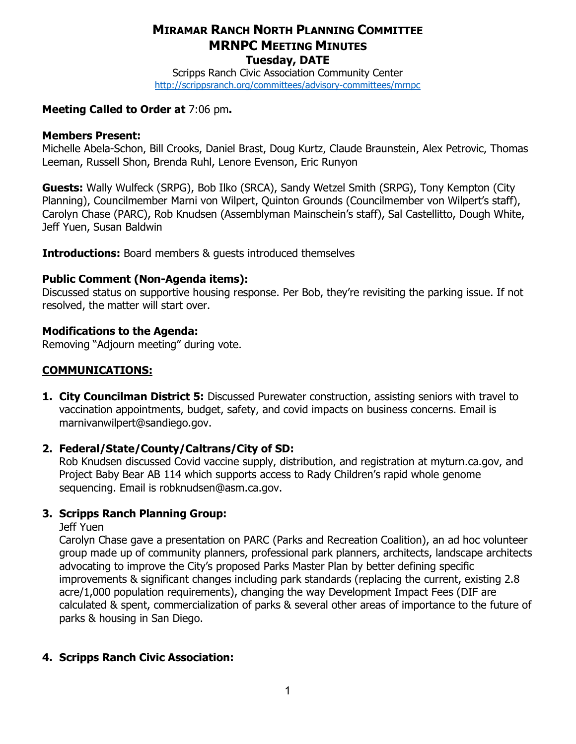## MIRAMAR RANCH NORTH PLANNING COMMITTEE MRNPC MEETING MINUTES Tuesday, DATE

Scripps Ranch Civic Association Community Center http://scrippsranch.org/committees/advisory-committees/mrnpc

## Meeting Called to Order at 7:06 pm.

### Members Present:

Michelle Abela-Schon, Bill Crooks, Daniel Brast, Doug Kurtz, Claude Braunstein, Alex Petrovic, Thomas Leeman, Russell Shon, Brenda Ruhl, Lenore Evenson, Eric Runyon

Guests: Wally Wulfeck (SRPG), Bob Ilko (SRCA), Sandy Wetzel Smith (SRPG), Tony Kempton (City Planning), Councilmember Marni von Wilpert, Quinton Grounds (Councilmember von Wilpert's staff), Carolyn Chase (PARC), Rob Knudsen (Assemblyman Mainschein's staff), Sal Castellitto, Dough White, Jeff Yuen, Susan Baldwin

**Introductions:** Board members & quests introduced themselves

## Public Comment (Non-Agenda items):

Discussed status on supportive housing response. Per Bob, they're revisiting the parking issue. If not resolved, the matter will start over.

## Modifications to the Agenda:

Removing "Adjourn meeting" during vote.

## COMMUNICATIONS:

**1. City Councilman District 5:** Discussed Purewater construction, assisting seniors with travel to vaccination appointments, budget, safety, and covid impacts on business concerns. Email is marnivanwilpert@sandiego.gov.

## 2. Federal/State/County/Caltrans/City of SD:

Rob Knudsen discussed Covid vaccine supply, distribution, and registration at myturn.ca.gov, and Project Baby Bear AB 114 which supports access to Rady Children's rapid whole genome sequencing. Email is robknudsen@asm.ca.gov.

## 3. Scripps Ranch Planning Group:

Jeff Yuen

Carolyn Chase gave a presentation on PARC (Parks and Recreation Coalition), an ad hoc volunteer group made up of community planners, professional park planners, architects, landscape architects advocating to improve the City's proposed Parks Master Plan by better defining specific improvements & significant changes including park standards (replacing the current, existing 2.8 acre/1,000 population requirements), changing the way Development Impact Fees (DIF are calculated & spent, commercialization of parks & several other areas of importance to the future of parks & housing in San Diego.

## 4. Scripps Ranch Civic Association: